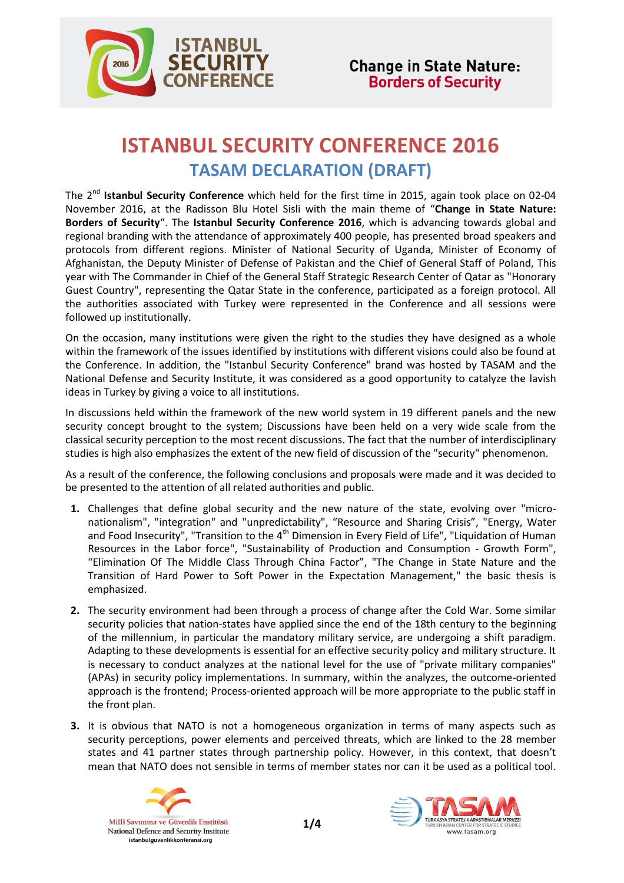

## **ISTANBUL SECURITY CONFERENCE 2016 TASAM DECLARATION (DRAFT)**

The 2<sup>nd</sup> Istanbul Security Conference which held for the first time in 2015, again took place on 02-04 November 2016, at the Radisson Blu Hotel Sisli with the main theme of "**Change in State Nature: Borders of Security**". The **Istanbul Security Conference 2016**, which is advancing towards global and regional branding with the attendance of approximately 400 people, has presented broad speakers and protocols from different regions. Minister of National Security of Uganda, Minister of Economy of Afghanistan, the Deputy Minister of Defense of Pakistan and the Chief of General Staff of Poland, This year with The Commander in Chief of the General Staff Strategic Research Center of Qatar as "Honorary Guest Country", representing the Qatar State in the conference, participated as a foreign protocol. All the authorities associated with Turkey were represented in the Conference and all sessions were followed up institutionally.

On the occasion, many institutions were given the right to the studies they have designed as a whole within the framework of the issues identified by institutions with different visions could also be found at the Conference. In addition, the "Istanbul Security Conference" brand was hosted by TASAM and the National Defense and Security Institute, it was considered as a good opportunity to catalyze the lavish ideas in Turkey by giving a voice to all institutions.

In discussions held within the framework of the new world system in 19 different panels and the new security concept brought to the system; Discussions have been held on a very wide scale from the classical security perception to the most recent discussions. The fact that the number of interdisciplinary studies is high also emphasizes the extent of the new field of discussion of the "security" phenomenon.

As a result of the conference, the following conclusions and proposals were made and it was decided to be presented to the attention of all related authorities and public.

- **1.** Challenges that define global security and the new nature of the state, evolving over "micronationalism", "integration" and "unpredictability", "Resource and Sharing Crisis", "Energy, Water and Food Insecurity", "Transition to the 4<sup>th</sup> Dimension in Every Field of Life", "Liquidation of Human Resources in the Labor force", "Sustainability of Production and Consumption - Growth Form", "Elimination Of The Middle Class Through China Factor", "The Change in State Nature and the Transition of Hard Power to Soft Power in the Expectation Management," the basic thesis is emphasized.
- **2.** The security environment had been through a process of change after the Cold War. Some similar security policies that nation-states have applied since the end of the 18th century to the beginning of the millennium, in particular the mandatory military service, are undergoing a shift paradigm. Adapting to these developments is essential for an effective security policy and military structure. It is necessary to conduct analyzes at the national level for the use of "private military companies" (APAs) in security policy implementations. In summary, within the analyzes, the outcome-oriented approach is the frontend; Process-oriented approach will be more appropriate to the public staff in the front plan.
- **3.** It is obvious that NATO is not a homogeneous organization in terms of many aspects such as security perceptions, power elements and perceived threats, which are linked to the 28 member states and 41 partner states through partnership policy. However, in this context, that doesn't mean that NATO does not sensible in terms of member states nor can it be used as a political tool.



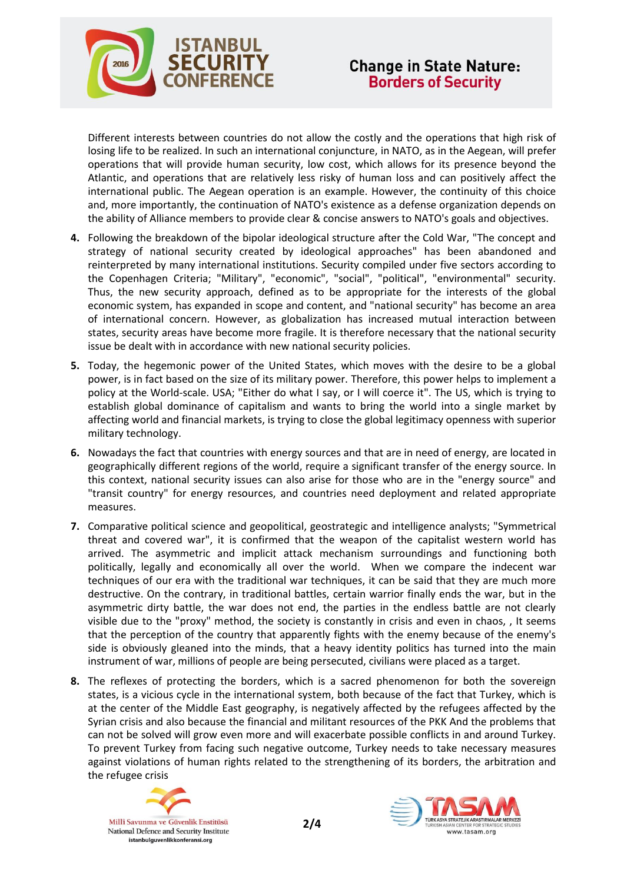

Different interests between countries do not allow the costly and the operations that high risk of losing life to be realized. In such an international conjuncture, in NATO, as in the Aegean, will prefer operations that will provide human security, low cost, which allows for its presence beyond the Atlantic, and operations that are relatively less risky of human loss and can positively affect the international public. The Aegean operation is an example. However, the continuity of this choice and, more importantly, the continuation of NATO's existence as a defense organization depends on the ability of Alliance members to provide clear & concise answers to NATO's goals and objectives.

- **4.** Following the breakdown of the bipolar ideological structure after the Cold War, "The concept and strategy of national security created by ideological approaches" has been abandoned and reinterpreted by many international institutions. Security compiled under five sectors according to the Copenhagen Criteria; "Military", "economic", "social", "political", "environmental" security. Thus, the new security approach, defined as to be appropriate for the interests of the global economic system, has expanded in scope and content, and "national security" has become an area of international concern. However, as globalization has increased mutual interaction between states, security areas have become more fragile. It is therefore necessary that the national security issue be dealt with in accordance with new national security policies.
- **5.** Today, the hegemonic power of the United States, which moves with the desire to be a global power, is in fact based on the size of its military power. Therefore, this power helps to implement a policy at the World-scale. USA; "Either do what I say, or I will coerce it". The US, which is trying to establish global dominance of capitalism and wants to bring the world into a single market by affecting world and financial markets, is trying to close the global legitimacy openness with superior military technology.
- **6.** Nowadays the fact that countries with energy sources and that are in need of energy, are located in geographically different regions of the world, require a significant transfer of the energy source. In this context, national security issues can also arise for those who are in the "energy source" and "transit country" for energy resources, and countries need deployment and related appropriate measures.
- **7.** Comparative political science and geopolitical, geostrategic and intelligence analysts; "Symmetrical threat and covered war", it is confirmed that the weapon of the capitalist western world has arrived. The asymmetric and implicit attack mechanism surroundings and functioning both politically, legally and economically all over the world. When we compare the indecent war techniques of our era with the traditional war techniques, it can be said that they are much more destructive. On the contrary, in traditional battles, certain warrior finally ends the war, but in the asymmetric dirty battle, the war does not end, the parties in the endless battle are not clearly visible due to the "proxy" method, the society is constantly in crisis and even in chaos, , It seems that the perception of the country that apparently fights with the enemy because of the enemy's side is obviously gleaned into the minds, that a heavy identity politics has turned into the main instrument of war, millions of people are being persecuted, civilians were placed as a target.
- **8.** The reflexes of protecting the borders, which is a sacred phenomenon for both the sovereign states, is a vicious cycle in the international system, both because of the fact that Turkey, which is at the center of the Middle East geography, is negatively affected by the refugees affected by the Syrian crisis and also because the financial and militant resources of the PKK And the problems that can not be solved will grow even more and will exacerbate possible conflicts in and around Turkey. To prevent Turkey from facing such negative outcome, Turkey needs to take necessary measures against violations of human rights related to the strengthening of its borders, the arbitration and the refugee crisis



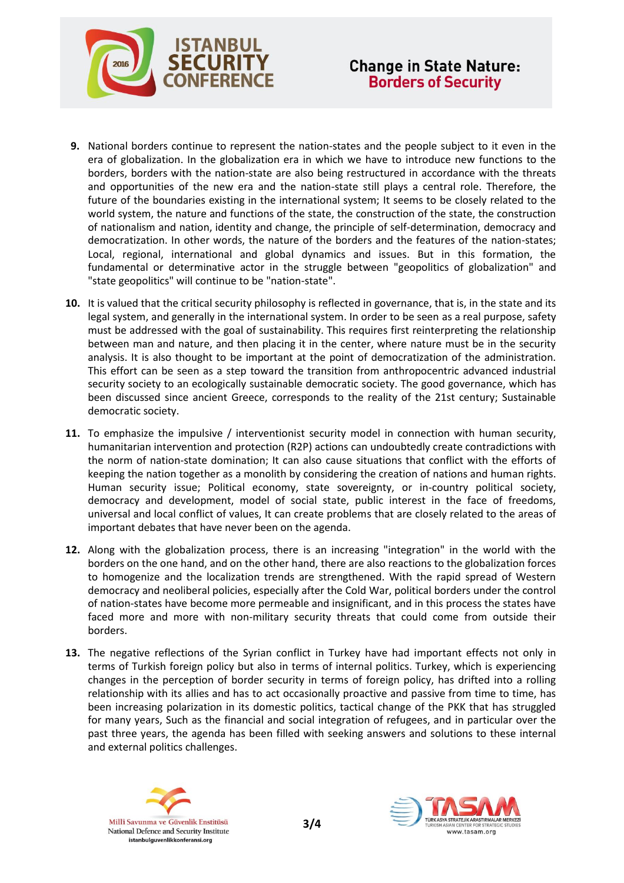

- **9.** National borders continue to represent the nation-states and the people subject to it even in the era of globalization. In the globalization era in which we have to introduce new functions to the borders, borders with the nation-state are also being restructured in accordance with the threats and opportunities of the new era and the nation-state still plays a central role. Therefore, the future of the boundaries existing in the international system; It seems to be closely related to the world system, the nature and functions of the state, the construction of the state, the construction of nationalism and nation, identity and change, the principle of self-determination, democracy and democratization. In other words, the nature of the borders and the features of the nation-states; Local, regional, international and global dynamics and issues. But in this formation, the fundamental or determinative actor in the struggle between "geopolitics of globalization" and "state geopolitics" will continue to be "nation-state".
- **10.** It is valued that the critical security philosophy is reflected in governance, that is, in the state and its legal system, and generally in the international system. In order to be seen as a real purpose, safety must be addressed with the goal of sustainability. This requires first reinterpreting the relationship between man and nature, and then placing it in the center, where nature must be in the security analysis. It is also thought to be important at the point of democratization of the administration. This effort can be seen as a step toward the transition from anthropocentric advanced industrial security society to an ecologically sustainable democratic society. The good governance, which has been discussed since ancient Greece, corresponds to the reality of the 21st century; Sustainable democratic society.
- **11.** To emphasize the impulsive / interventionist security model in connection with human security, humanitarian intervention and protection (R2P) actions can undoubtedly create contradictions with the norm of nation-state domination; It can also cause situations that conflict with the efforts of keeping the nation together as a monolith by considering the creation of nations and human rights. Human security issue; Political economy, state sovereignty, or in-country political society, democracy and development, model of social state, public interest in the face of freedoms, universal and local conflict of values, It can create problems that are closely related to the areas of important debates that have never been on the agenda.
- **12.** Along with the globalization process, there is an increasing "integration" in the world with the borders on the one hand, and on the other hand, there are also reactions to the globalization forces to homogenize and the localization trends are strengthened. With the rapid spread of Western democracy and neoliberal policies, especially after the Cold War, political borders under the control of nation-states have become more permeable and insignificant, and in this process the states have faced more and more with non-military security threats that could come from outside their borders.
- **13.** The negative reflections of the Syrian conflict in Turkey have had important effects not only in terms of Turkish foreign policy but also in terms of internal politics. Turkey, which is experiencing changes in the perception of border security in terms of foreign policy, has drifted into a rolling relationship with its allies and has to act occasionally proactive and passive from time to time, has been increasing polarization in its domestic politics, tactical change of the PKK that has struggled for many years, Such as the financial and social integration of refugees, and in particular over the past three years, the agenda has been filled with seeking answers and solutions to these internal and external politics challenges.